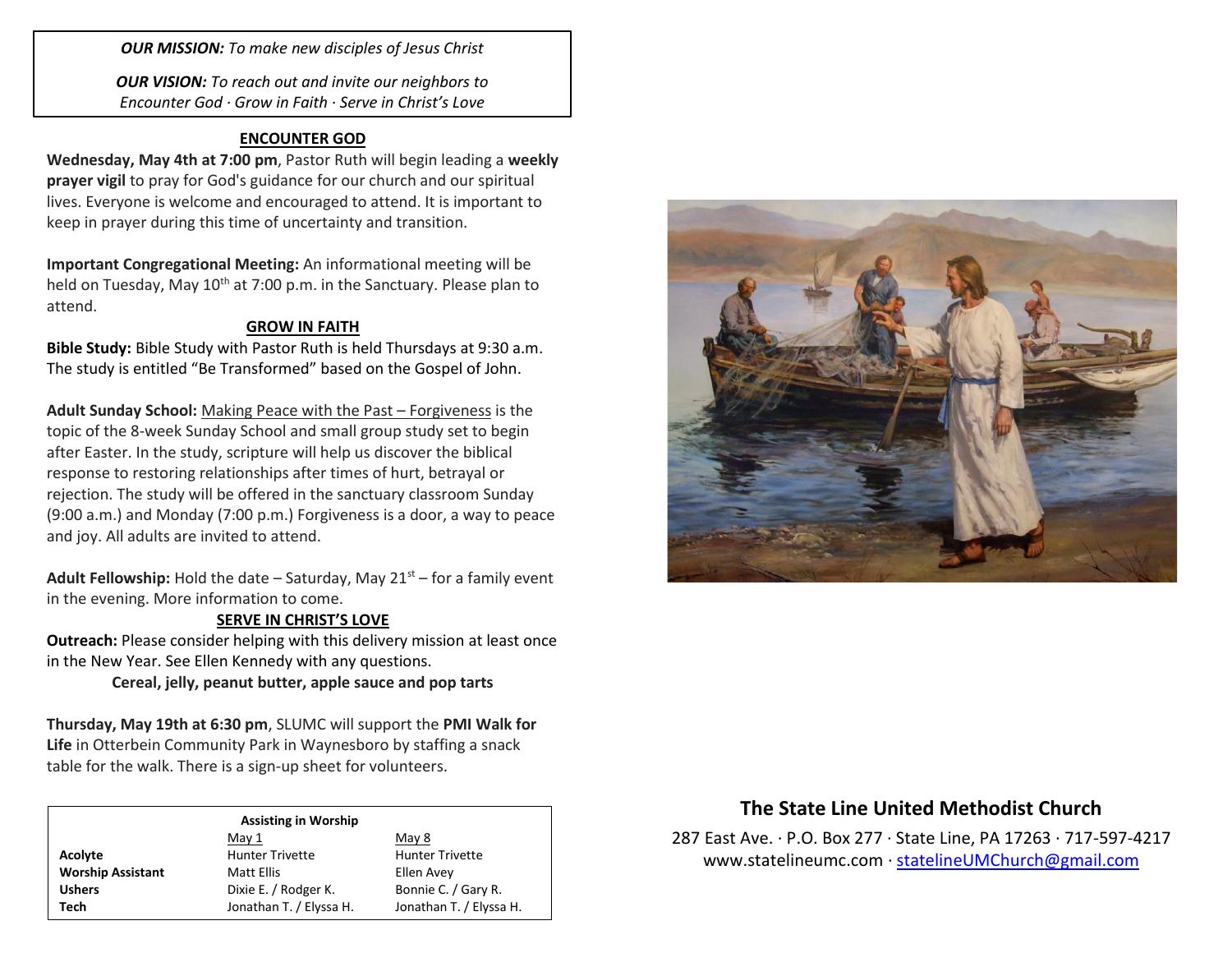*OUR MISSION: To make new disciples of Jesus Christ*

*OUR VISION: To reach out and invite our neighbors to Encounter God · Grow in Faith · Serve in Christ's Love*

## **ENCOUNTER GOD**

**Wednesday, May 4th at 7:00 pm**, Pastor Ruth will begin leading a **weekly prayer vigil** to pray for God's guidance for our church and our spiritual lives. Everyone is welcome and encouraged to attend. It is important to keep in prayer during this time of uncertainty and transition.

**Important Congregational Meeting:** An informational meeting will be held on Tuesday, May 10<sup>th</sup> at 7:00 p.m. in the Sanctuary. Please plan to attend.

## **GROW IN FAITH**

**Bible Study:** Bible Study with Pastor Ruth is held Thursdays at 9:30 a.m. The study is entitled "Be Transformed" based on the Gospel of John.

**Adult Sunday School:** Making Peace with the Past – Forgiveness is the topic of the 8-week Sunday School and small group study set to begin after Easter. In the study, scripture will help us discover the biblical response to restoring relationships after times of hurt, betrayal or rejection. The study will be offered in the sanctuary classroom Sunday (9:00 a.m.) and Monday (7:00 p.m.) Forgiveness is a door, a way to peace and joy. All adults are invited to attend.

**Adult Fellowship:** Hold the date – Saturday, May  $21<sup>st</sup>$  – for a family event in the evening. More information to come.

### **SERVE IN CHRIST'S LOVE**

**Outreach:** Please consider helping with this delivery mission at least once in the New Year. See Ellen Kennedy with any questions.

**Cereal, jelly, peanut butter, apple sauce and pop tarts**

**Thursday, May 19th at 6:30 pm**, SLUMC will support the **PMI Walk for Life** in Otterbein Community Park in Waynesboro by staffing a snack table for the walk. There is a sign-up sheet for volunteers.

#### **Assisting in Worship**

|                          | May 1                                       | May 8                   |  |
|--------------------------|---------------------------------------------|-------------------------|--|
| Acolyte                  | <b>Hunter Trivette</b>                      | <b>Hunter Trivette</b>  |  |
| <b>Worship Assistant</b> | Matt Ellis                                  | Ellen Avey              |  |
| <b>Ushers</b>            | Dixie E. / Rodger K.<br>Bonnie C. / Gary R. |                         |  |
| Tech                     | Jonathan T. / Elyssa H.                     | Jonathan T. / Elyssa H. |  |



# **The State Line United Methodist Church**

287 East Ave. · P.O. Box 277 · State Line, PA 17263 · 717-597-4217 [www.statelineumc.com](http://www.statelineumc.com/) · [statelineUMChurch@gmail.com](mailto:statelineUMChurch@gmail.com)